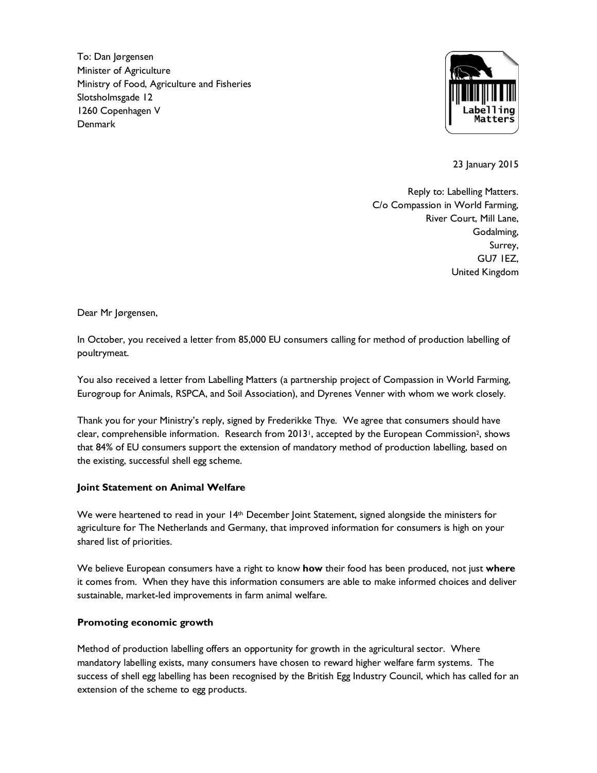To: Dan Jørgensen Minister of Agriculture Ministry of Food, Agriculture and Fisheries Slotsholmsgade 12 1260 Copenhagen V Denmark



23 January 2015

Reply to: Labelling Matters. C/o Compassion in World Farming, River Court, Mill Lane, Godalming, Surrey, GU7 1EZ, United Kingdom

Dear Mr Jørgensen,

In October, you received a letter from 85,000 EU consumers calling for method of production labelling of poultrymeat.

You also received a letter from Labelling Matters (a partnership project of Compassion in World Farming, Eurogroup for Animals, RSPCA, and Soil Association), and Dyrenes Venner with whom we work closely.

Thank you for your Ministry's reply, signed by Frederikke Thye. We agree that consumers should have clear, comprehensible information. Research from 2013<sup>1</sup>, accepted by the European Commission<sup>2</sup>, shows that 84% of EU consumers support the extension of mandatory method of production labelling, based on the existing, successful shell egg scheme.

#### **Joint Statement on Animal Welfare**

We were heartened to read in your 14<sup>th</sup> December Joint Statement, signed alongside the ministers for agriculture for The Netherlands and Germany, that improved information for consumers is high on your shared list of priorities.

We believe European consumers have a right to know **how** their food has been produced, not just **where** it comes from. When they have this information consumers are able to make informed choices and deliver sustainable, market-led improvements in farm animal welfare.

#### **Promoting economic growth**

Method of production labelling offers an opportunity for growth in the agricultural sector. Where mandatory labelling exists, many consumers have chosen to reward higher welfare farm systems. The success of shell egg labelling has been recognised by the British Egg Industry Council, which has called for an extension of the scheme to egg products.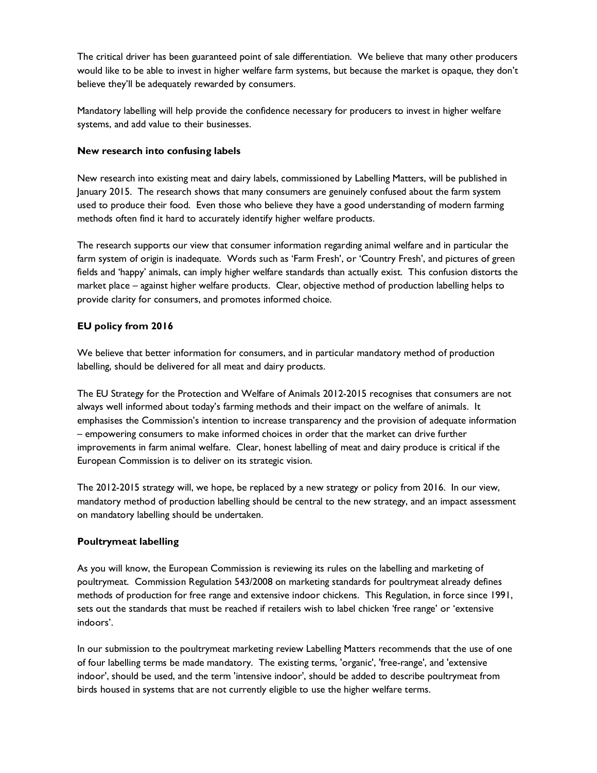The critical driver has been guaranteed point of sale differentiation. We believe that many other producers would like to be able to invest in higher welfare farm systems, but because the market is opaque, they don't believe they'll be adequately rewarded by consumers.

Mandatory labelling will help provide the confidence necessary for producers to invest in higher welfare systems, and add value to their businesses.

## **New research into confusing labels**

New research into existing meat and dairy labels, commissioned by Labelling Matters, will be published in January 2015. The research shows that many consumers are genuinely confused about the farm system used to produce their food. Even those who believe they have a good understanding of modern farming methods often find it hard to accurately identify higher welfare products.

The research supports our view that consumer information regarding animal welfare and in particular the farm system of origin is inadequate. Words such as 'Farm Fresh', or 'Country Fresh', and pictures of green fields and 'happy' animals, can imply higher welfare standards than actually exist. This confusion distorts the market place – against higher welfare products. Clear, objective method of production labelling helps to provide clarity for consumers, and promotes informed choice.

### **EU policy from 2016**

We believe that better information for consumers, and in particular mandatory method of production labelling, should be delivered for all meat and dairy products.

The EU Strategy for the Protection and Welfare of Animals 2012-2015 recognises that consumers are not always well informed about today's farming methods and their impact on the welfare of animals. It emphasises the Commission's intention to increase transparency and the provision of adequate information – empowering consumers to make informed choices in order that the market can drive further improvements in farm animal welfare. Clear, honest labelling of meat and dairy produce is critical if the European Commission is to deliver on its strategic vision.

The 2012-2015 strategy will, we hope, be replaced by a new strategy or policy from 2016. In our view, mandatory method of production labelling should be central to the new strategy, and an impact assessment on mandatory labelling should be undertaken.

# **Poultrymeat labelling**

As you will know, the European Commission is reviewing its rules on the labelling and marketing of poultrymeat. Commission Regulation 543/2008 on marketing standards for poultrymeat already defines methods of production for free range and extensive indoor chickens. This Regulation, in force since 1991, sets out the standards that must be reached if retailers wish to label chicken 'free range' or 'extensive indoors'.

In our submission to the poultrymeat marketing review Labelling Matters recommends that the use of one of four labelling terms be made mandatory. The existing terms, 'organic', 'free-range', and 'extensive indoor', should be used, and the term 'intensive indoor', should be added to describe poultrymeat from birds housed in systems that are not currently eligible to use the higher welfare terms.